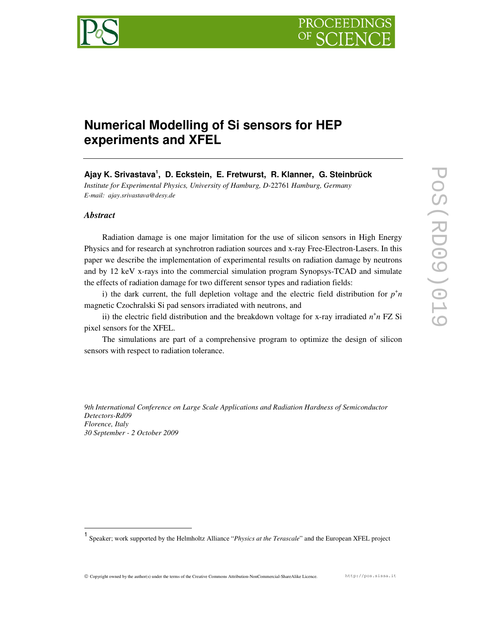



# **Numerical Modelling of Si sensors for HEP experiments and XFEL**

**Ajay K. Srivastava<sup>1</sup> , D. Eckstein, E. Fretwurst, R. Klanner, G. Steinbrück** 

*Institute for Experimental Physics, University of Hamburg, D*-22761 *Hamburg, Germany E-mail: ajay.srivastava@desy.de*

# *Abstract*

-

Radiation damage is one major limitation for the use of silicon sensors in High Energy Physics and for research at synchrotron radiation sources and x-ray Free-Electron-Lasers. In this paper we describe the implementation of experimental results on radiation damage by neutrons and by 12 keV x-rays into the commercial simulation program Synopsys-TCAD and simulate the effects of radiation damage for two different sensor types and radiation fields:

i) the dark current, the full depletion voltage and the electric field distribution for  $p^{\dagger}n$ magnetic Czochralski Si pad sensors irradiated with neutrons, and

ii) the electric field distribution and the breakdown voltage for x-ray irradiated  $n^+n$  FZ Si pixel sensors for the XFEL.

The simulations are part of a comprehensive program to optimize the design of silicon sensors with respect to radiation tolerance.

*9th International Conference on Large Scale Applications and Radiation Hardness of Semiconductor Detectors-Rd09 Florence, Italy 30 September - 2 October 2009* 

Copyright owned by the author(s) under the terms of the Creative Commons Attribution-NonCommercial-ShareAlike Licence. http://pos.sissa.it

<sup>1</sup> Speaker; work supported by the Helmholtz Alliance "*Physics at the Terascale*" and the European XFEL project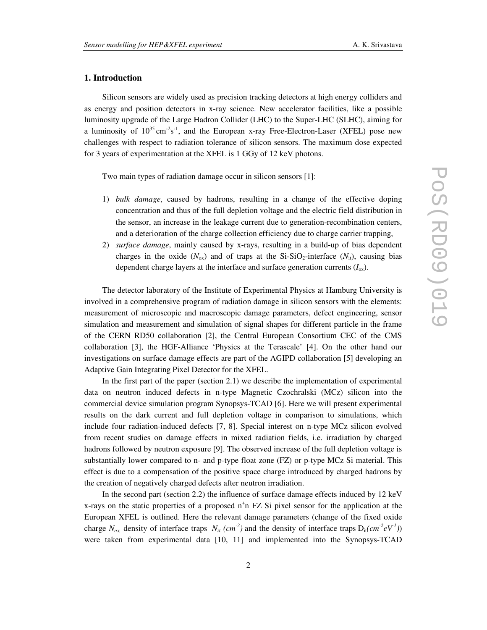## **1. Introduction**

Silicon sensors are widely used as precision tracking detectors at high energy colliders and as energy and position detectors in x-ray science. New accelerator facilities, like a possible luminosity upgrade of the Large Hadron Collider (LHC) to the Super-LHC (SLHC), aiming for a luminosity of  $10^{35}$  cm<sup>-2</sup>s<sup>-1</sup>, and the European x-ray Free-Electron-Laser (XFEL) pose new challenges with respect to radiation tolerance of silicon sensors. The maximum dose expected for 3 years of experimentation at the XFEL is 1 GGy of 12 keV photons.

Two main types of radiation damage occur in silicon sensors [1]:

- 1) *bulk damage*, caused by hadrons, resulting in a change of the effective doping concentration and thus of the full depletion voltage and the electric field distribution in the sensor, an increase in the leakage current due to generation-recombination centers, and a deterioration of the charge collection efficiency due to charge carrier trapping,
- 2) *surface damage*, mainly caused by x-rays, resulting in a build-up of bias dependent charges in the oxide  $(N_{ox})$  and of traps at the Si-SiO<sub>2</sub>-interface  $(N_{it})$ , causing bias dependent charge layers at the interface and surface generation currents (*I*ox).

The detector laboratory of the Institute of Experimental Physics at Hamburg University is involved in a comprehensive program of radiation damage in silicon sensors with the elements: measurement of microscopic and macroscopic damage parameters, defect engineering, sensor simulation and measurement and simulation of signal shapes for different particle in the frame of the CERN RD50 collaboration [2], the Central European Consortium CEC of the CMS collaboration [3], the HGF-Alliance 'Physics at the Terascale' [4]. On the other hand our investigations on surface damage effects are part of the AGIPD collaboration [5] developing an Adaptive Gain Integrating Pixel Detector for the XFEL.

In the first part of the paper (section 2.1) we describe the implementation of experimental data on neutron induced defects in n-type Magnetic Czochralski (MCz) silicon into the commercial device simulation program Synopsys-TCAD [6]. Here we will present experimental results on the dark current and full depletion voltage in comparison to simulations, which include four radiation-induced defects [7, 8]. Special interest on n-type MCz silicon evolved from recent studies on damage effects in mixed radiation fields, i.e. irradiation by charged hadrons followed by neutron exposure [9]. The observed increase of the full depletion voltage is substantially lower compared to n- and p-type float zone (FZ) or p-type MCz Si material. This effect is due to a compensation of the positive space charge introduced by charged hadrons by the creation of negatively charged defects after neutron irradiation.

In the second part (section 2.2) the influence of surface damage effects induced by 12 keV x-rays on the static properties of a proposed  $n^+n$  FZ Si pixel sensor for the application at the European XFEL is outlined. Here the relevant damage parameters (change of the fixed oxide charge  $N_{ox}$  density of interface traps  $N_{it}$  (cm<sup>-2</sup>) and the density of interface traps  $D_{it}(cm^2eV^1)$ ) were taken from experimental data [10, 11] and implemented into the Synopsys-TCAD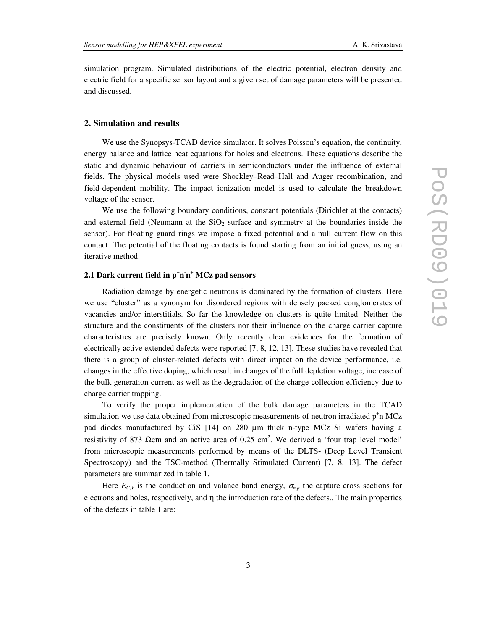simulation program. Simulated distributions of the electric potential, electron density and electric field for a specific sensor layout and a given set of damage parameters will be presented and discussed.

## **2. Simulation and results**

We use the Synopsys-TCAD device simulator. It solves Poisson's equation, the continuity, energy balance and lattice heat equations for holes and electrons. These equations describe the static and dynamic behaviour of carriers in semiconductors under the influence of external fields. The physical models used were Shockley–Read–Hall and Auger recombination, and field-dependent mobility. The impact ionization model is used to calculate the breakdown voltage of the sensor.

We use the following boundary conditions, constant potentials (Dirichlet at the contacts) and external field (Neumann at the  $SiO<sub>2</sub>$  surface and symmetry at the boundaries inside the sensor). For floating guard rings we impose a fixed potential and a null current flow on this contact. The potential of the floating contacts is found starting from an initial guess, using an iterative method.

# **2.1 Dark current field in p<sup>+</sup> n - n + MCz pad sensors**

Radiation damage by energetic neutrons is dominated by the formation of clusters. Here we use "cluster" as a synonym for disordered regions with densely packed conglomerates of vacancies and/or interstitials. So far the knowledge on clusters is quite limited. Neither the structure and the constituents of the clusters nor their influence on the charge carrier capture characteristics are precisely known. Only recently clear evidences for the formation of electrically active extended defects were reported [7, 8, 12, 13]. These studies have revealed that there is a group of cluster-related defects with direct impact on the device performance, i.e. changes in the effective doping, which result in changes of the full depletion voltage, increase of the bulk generation current as well as the degradation of the charge collection efficiency due to charge carrier trapping.

To verify the proper implementation of the bulk damage parameters in the TCAD simulation we use data obtained from microscopic measurements of neutron irradiated  $p^+$ n MCz pad diodes manufactured by CiS [14] on 280 µm thick n-type MCz Si wafers having a resistivity of 873  $\Omega$ cm and an active area of 0.25 cm<sup>2</sup>. We derived a 'four trap level model' from microscopic measurements performed by means of the DLTS- (Deep Level Transient Spectroscopy) and the TSC-method (Thermally Stimulated Current) [7, 8, 13]. The defect parameters are summarized in table 1.

Here  $E_{C,V}$  is the conduction and valance band energy,  $\sigma_{n,p}$  the capture cross sections for electrons and holes, respectively, and  $\eta$  the introduction rate of the defects.. The main properties of the defects in table 1 are: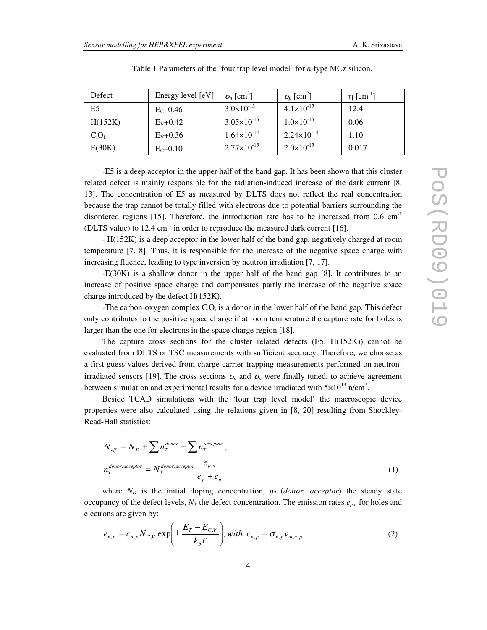| Defect         | Energy level [eV] | $\sigma_n$ [cm <sup>2</sup> ] | $\sigma_p$ [cm <sup>2</sup> ] | $\eta$ [cm <sup>-1</sup> ] |
|----------------|-------------------|-------------------------------|-------------------------------|----------------------------|
| E <sub>5</sub> | $E_C$ –0.46       | $3.0 \times 10^{-15}$         | $4.1 \times 10^{-15}$         | 12.4                       |
| H(152K)        | $E_{V}$ +0.42     | $3.05 \times 10^{-13}$        | $1.0 \times 10^{-13}$         | 0.06                       |
| $C_iO_i$       | $E_V + 0.36$      | $1.64 \times 10^{-14}$        | $2.24 \times 10^{-14}$        | 1.10                       |
| E(30K)         | $E_C - 0.10$      | $2.77 \times 10^{-15}$        | $2.0 \times 10^{-15}$         | 0.017                      |

Table 1 Parameters of the 'four trap level model' for *n*-type MCz silicon.

-E5 is a deep acceptor in the upper half of the band gap. It has been shown that this cluster related defect is mainly responsible for the radiation-induced increase of the dark current [8, 13]. The concentration of E5 as measured by DLTS does not reflect the real concentration because the trap cannot be totally filled with electrons due to potential barriers surrounding the disordered regions [15]. Therefore, the introduction rate has to be increased from  $0.6 \text{ cm}^{-1}$ (DLTS value) to  $12.4 \text{ cm}^{-1}$  in order to reproduce the measured dark current [16].

- H(152K) is a deep acceptor in the lower half of the band gap, negatively charged at room temperature [7, 8]. Thus, it is responsible for the increase of the negative space charge with increasing fluence, leading to type inversion by neutron irradiation [7, 17].

-E(30K) is a shallow donor in the upper half of the band gap [8]. It contributes to an increase of positive space charge and compensates partly the increase of the negative space charge introduced by the defect H(152K).

-The carbon-oxygen complex  $C_iO_i$  is a donor in the lower half of the band gap. This defect only contributes to the positive space charge if at room temperature the capture rate for holes is larger than the one for electrons in the space charge region [18].

The capture cross sections for the cluster related defects  $(E5, H(152K))$  cannot be evaluated from DLTS or TSC measurements with sufficient accuracy. Therefore, we choose as a first guess values derived from charge carrier trapping measurements performed on neutronirradiated sensors [19]. The cross sections  $\sigma_n$  and  $\sigma_p$  were finally tuned, to achieve agreement between simulation and experimental results for a device irradiated with  $5 \times 10^{13}$  n/cm<sup>2</sup>.

Beside TCAD simulations with the 'four trap level model' the macroscopic device properties were also calculated using the relations given in [8, 20] resulting from Shockley-Read-Hall statistics:

$$
N_{\text{eff}} = N_{\text{D}} + \sum n_{\text{T}}^{donor} - \sum n_{\text{T}}^{acceptor} ,
$$
  

$$
n_{\text{T}}^{donor,acceptor} = N_{\text{T}}^{donor,acceptor} \frac{e_{p,n}}{e_p + e_n}
$$
 (1)

where  $N_D$  is the initial doping concentration,  $n_T$  (*donor, acceptor*) the steady state occupancy of the defect levels,  $N_T$  the defect concentration. The emission rates  $e_{p,n}$  for holes and electrons are given by:

$$
e_{n,p} = c_{n,p} N_{C,V} \exp\left(\pm \frac{E_T - E_{C,V}}{k_b T}\right), with \ c_{n,p} = \sigma_{n,p} v_{th,n,p}
$$
 (2)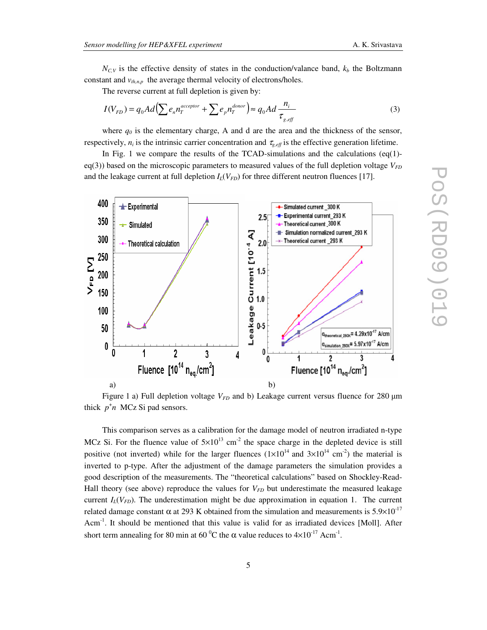$N_{C,V}$  is the effective density of states in the conduction/valance band,  $k_b$  the Boltzmann constant and  $v_{th,n,p}$  the average thermal velocity of electrons/holes.

The reverse current at full depletion is given by:

$$
I(V_{FD}) = q_0 A d \left( \sum e_n n_T^{acceptor} + \sum e_p n_T^{door} \right) \approx q_0 A d \frac{n_i}{\tau_{g, eff}}
$$
(3)

where  $q<sub>0</sub>$  is the elementary charge, A and d are the area and the thickness of the sensor, respectively,  $n_i$  is the intrinsic carrier concentration and  $\tau_{g, eff}$  is the effective generation lifetime.

In Fig. 1 we compare the results of the TCAD-simulations and the calculations  $eq(1)$ eq(3)) based on the microscopic parameters to measured values of the full depletion voltage  $V_{FD}$ and the leakage current at full depletion  $I_l(V_{FD})$  for three different neutron fluences [17].



Figure 1 a) Full depletion voltage  $V_{FD}$  and b) Leakage current versus fluence for 280 µm thick  $p^{\dagger}n$  MCz Si pad sensors.

This comparison serves as a calibration for the damage model of neutron irradiated n-type MCz Si. For the fluence value of  $5 \times 10^{13}$  cm<sup>-2</sup> the space charge in the depleted device is still positive (not inverted) while for the larger fluences  $(1 \times 10^{14} \text{ and } 3 \times 10^{14} \text{ cm}^2)$  the material is inverted to p-type. After the adjustment of the damage parameters the simulation provides a good description of the measurements. The "theoretical calculations" based on Shockley-Read-Hall theory (see above) reproduce the values for *VFD* but underestimate the measured leakage current  $I_L(V_{FD})$ . The underestimation might be due approximation in equation 1. The current related damage constant α at 293 K obtained from the simulation and measurements is  $5.9\times10^{-17}$ Acm<sup>-1</sup>. It should be mentioned that this value is valid for as irradiated devices [Moll]. After short term annealing for 80 min at 60  $^{\circ}$ C the  $\alpha$  value reduces to  $4\times10^{-17}$  Acm<sup>-1</sup>.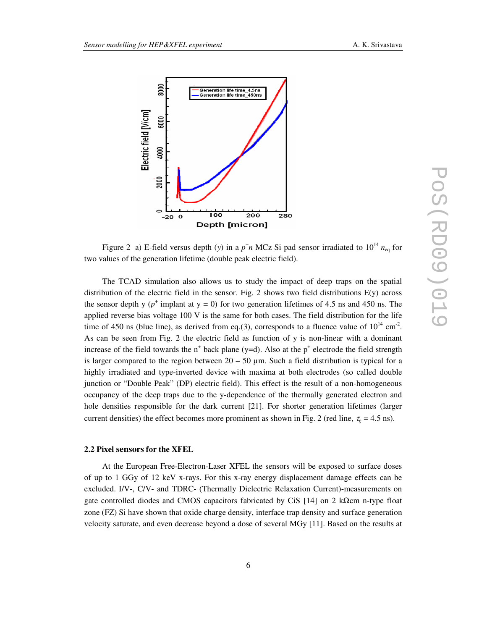

Figure 2 a) E-field versus depth (*y*) in a  $p^{\dagger}n$  MCz Si pad sensor irradiated to  $10^{14} n_{eq}$  for two values of the generation lifetime (double peak electric field).

The TCAD simulation also allows us to study the impact of deep traps on the spatial distribution of the electric field in the sensor. Fig. 2 shows two field distributions E(y) across the sensor depth y  $(p^+$  implant at  $y = 0$ ) for two generation lifetimes of 4.5 ns and 450 ns. The applied reverse bias voltage 100 V is the same for both cases. The field distribution for the life time of 450 ns (blue line), as derived from eq.(3), corresponds to a fluence value of  $10^{14}$  cm<sup>-2</sup>. As can be seen from Fig. 2 the electric field as function of y is non-linear with a dominant increase of the field towards the  $n^+$  back plane (y=d). Also at the  $p^+$  electrode the field strength is larger compared to the region between  $20 - 50 \mu m$ . Such a field distribution is typical for a highly irradiated and type-inverted device with maxima at both electrodes (so called double junction or "Double Peak" (DP) electric field). This effect is the result of a non-homogeneous occupancy of the deep traps due to the y-dependence of the thermally generated electron and hole densities responsible for the dark current [21]. For shorter generation lifetimes (larger current densities) the effect becomes more prominent as shown in Fig. 2 (red line,  $\tau_{g} = 4.5$  ns).

#### **2.2 Pixel sensors for the XFEL**

At the European Free-Electron-Laser XFEL the sensors will be exposed to surface doses of up to 1 GGy of 12 keV x-rays. For this x-ray energy displacement damage effects can be excluded. I/V-, C/V- and TDRC- (Thermally Dielectric Relaxation Current)-measurements on gate controlled diodes and CMOS capacitors fabricated by CiS [14] on 2 k $\Omega$ cm n-type float zone (FZ) Si have shown that oxide charge density, interface trap density and surface generation velocity saturate, and even decrease beyond a dose of several MGy [11]. Based on the results at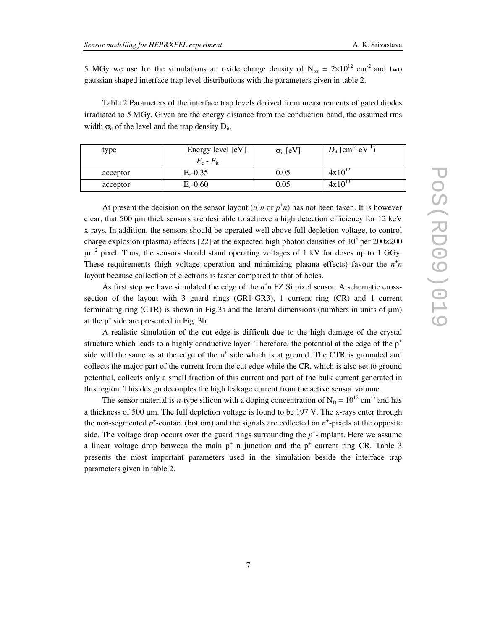5 MGy we use for the simulations an oxide charge density of  $N_{ox} = 2 \times 10^{12}$  cm<sup>-2</sup> and two gaussian shaped interface trap level distributions with the parameters given in table 2.

Table 2 Parameters of the interface trap levels derived from measurements of gated diodes irradiated to 5 MGy. Given are the energy distance from the conduction band, the assumed rms width  $\sigma_{it}$  of the level and the trap density  $D_{it}$ .

| type     | Energy level [eV]<br>$E_c - E_{\rm it}$ | $\sigma_{it}$ [eV] | $D_{\text{it}}$ [cm <sup>-2</sup> eV <sup>-1</sup> ) |
|----------|-----------------------------------------|--------------------|------------------------------------------------------|
| acceptor | $E_c - 0.35$                            | 0.05               | $4x10^{12}$                                          |
| acceptor | $E_c$ -0.60                             | 0.05               | $4x10^{13}$                                          |

At present the decision on the sensor layout  $(n^{\dagger}n \text{ or } p^{\dagger}n)$  has not been taken. It is however clear, that 500  $\mu$ m thick sensors are desirable to achieve a high detection efficiency for 12 keV x-rays. In addition, the sensors should be operated well above full depletion voltage, to control charge explosion (plasma) effects [22] at the expected high photon densities of  $10^5$  per 200×200  $\mu$ m<sup>2</sup> pixel. Thus, the sensors should stand operating voltages of 1 kV for doses up to 1 GGy. These requirements (high voltage operation and minimizing plasma effects) favour the  $n^{\dagger}n$ layout because collection of electrons is faster compared to that of holes.

As first step we have simulated the edge of the  $n^+n$  FZ Si pixel sensor. A schematic crosssection of the layout with 3 guard rings (GR1-GR3), 1 current ring (CR) and 1 current terminating ring (CTR) is shown in Fig.3a and the lateral dimensions (numbers in units of  $\mu$ m) at the  $p^+$  side are presented in Fig. 3b.

A realistic simulation of the cut edge is difficult due to the high damage of the crystal structure which leads to a highly conductive layer. Therefore, the potential at the edge of the  $p^+$ side will the same as at the edge of the n<sup>+</sup> side which is at ground. The CTR is grounded and collects the major part of the current from the cut edge while the CR, which is also set to ground potential, collects only a small fraction of this current and part of the bulk current generated in this region. This design decouples the high leakage current from the active sensor volume.

The sensor material is *n*-type silicon with a doping concentration of  $N_D = 10^{12}$  cm<sup>-3</sup> and has a thickness of 500 µm. The full depletion voltage is found to be 197 V. The x-rays enter through the non-segmented  $p^+$ -contact (bottom) and the signals are collected on  $n^+$ -pixels at the opposite side. The voltage drop occurs over the guard rings surrounding the  $p^+$ -implant. Here we assume a linear voltage drop between the main  $p^+$  n junction and the  $p^+$  current ring CR. Table 3 presents the most important parameters used in the simulation beside the interface trap parameters given in table 2.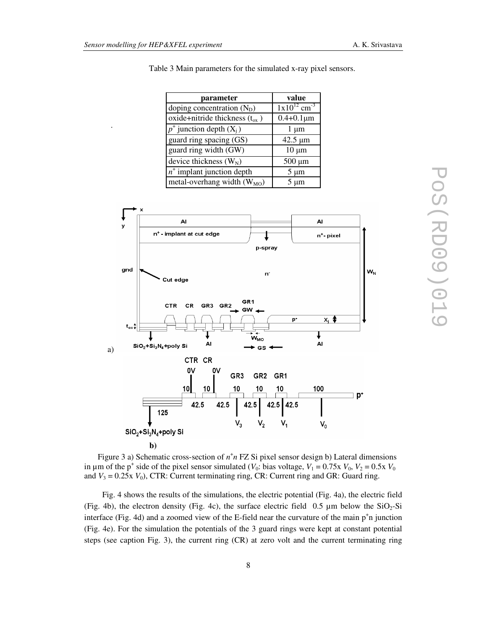.

| parameter                            | value                        |
|--------------------------------------|------------------------------|
| doping concentration $(N_D)$         | $1x10^{12}$ cm <sup>-3</sup> |
| oxide+nitride thickness $(t_{ox})$   | $0.4 + 0.1 \mu m$            |
| $p^+$ junction depth $(X_i)$         | $1 \mu m$                    |
| guard ring spacing $(\overline{GS})$ | $42.5 \mu m$                 |
| guard ring width (GW)                | $10 \mu m$                   |
| device thickness $(W_N)$             | $500 \mu m$                  |
| $n^+$ implant junction depth         | $5 \mu m$                    |
| metal-overhang width $(W_{MO})$      | 5 um                         |



Table 3 Main parameters for the simulated x-ray pixel sensors.

Figure 3 a) Schematic cross-section of  $n^+n$  FZ Si pixel sensor design b) Lateral dimensions in  $\mu$ m of the p<sup>+</sup> side of the pixel sensor simulated (*V*<sub>0</sub>: bias voltage, *V*<sub>1</sub> = 0.75x *V*<sub>0</sub>, *V*<sub>2</sub> = 0.5x *V*<sub>0</sub> and  $V_3 = 0.25$ x  $V_0$ ), CTR: Current terminating ring, CR: Current ring and GR: Guard ring.

Fig. 4 shows the results of the simulations, the electric potential (Fig. 4a), the electric field (Fig. 4b), the electron density (Fig. 4c), the surface electric field 0.5  $\mu$ m below the SiO<sub>2</sub>-Si interface (Fig. 4d) and a zoomed view of the E-field near the curvature of the main  $p^+n$  junction (Fig. 4e). For the simulation the potentials of the 3 guard rings were kept at constant potential steps (see caption Fig. 3), the current ring (CR) at zero volt and the current terminating ring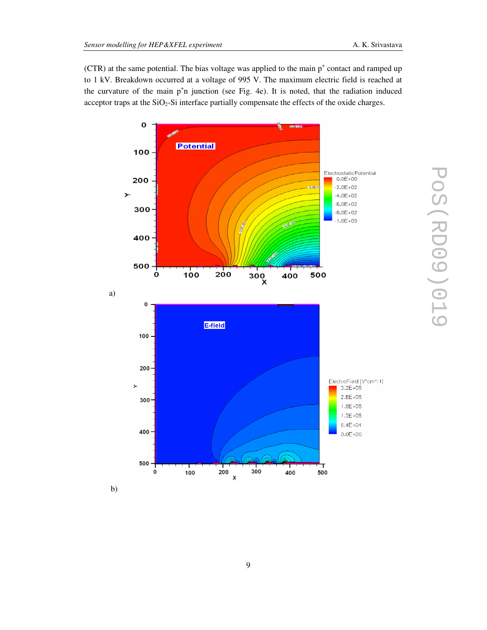$(CTR)$  at the same potential. The bias voltage was applied to the main  $p^+$  contact and ramped up to 1 kV. Breakdown occurred at a voltage of 995 V. The maximum electric field is reached at the curvature of the main p<sup>+</sup>n junction (see Fig. 4e). It is noted, that the radiation induced acceptor traps at the  $SiO<sub>2</sub>$ -Si interface partially compensate the effects of the oxide charges.

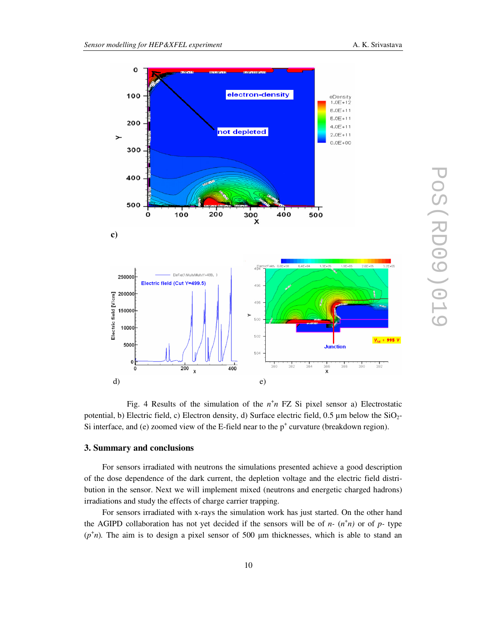

Fig. 4 Results of the simulation of the  $n^+n$  FZ Si pixel sensor a) Electrostatic potential, b) Electric field, c) Electron density, d) Surface electric field,  $0.5 \mu m$  below the  $SiO<sub>2</sub>$ -Si interface, and (e) zoomed view of the E-field near to the  $p^+$  curvature (breakdown region).

## **3. Summary and conclusions**

For sensors irradiated with neutrons the simulations presented achieve a good description of the dose dependence of the dark current, the depletion voltage and the electric field distribution in the sensor. Next we will implement mixed (neutrons and energetic charged hadrons) irradiations and study the effects of charge carrier trapping.

For sensors irradiated with x-rays the simulation work has just started. On the other hand the AGIPD collaboration has not yet decided if the sensors will be of  $n-(n^+n)$  or of  $p$ - type  $(p<sup>+</sup>n)$ . The aim is to design a pixel sensor of 500  $\mu$ m thicknesses, which is able to stand an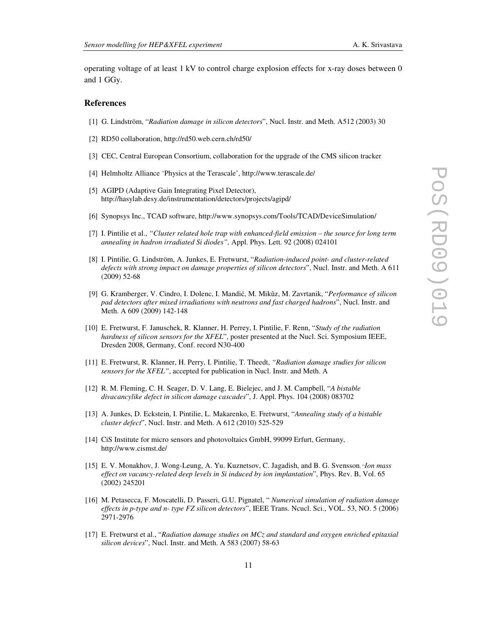operating voltage of at least 1 kV to control charge explosion effects for x-ray doses between 0 and 1 GGy.

#### **References**

- [1] G. Lindström, "*Radiation damage in silicon detectors*", Nucl. Instr. and Meth. A512 (2003) 30
- [2] RD50 collaboration, http://rd50.web.cern.ch/rd50/
- [3] CEC, Central European Consortium, collaboration for the upgrade of the CMS silicon tracker
- [4] Helmholtz Alliance 'Physics at the Terascale', http://www.terascale.de/
- [5] AGIPD (Adaptive Gain Integrating Pixel Detector), http://hasylab.desy.de/instrumentation/detectors/projects/agipd/
- [6] Synopsys Inc., TCAD software, http://www.synopsys.com/Tools/TCAD/DeviceSimulation/
- [7] I. Pintilie et al., *"Cluster related hole trap with enhanced-field emission the source for long term annealing in hadron irradiated Si diodes",* Appl. Phys. Lett. 92 (2008) 024101
- [8] I. Pintilie, G. Lindström, A. Junkes, E. Fretwurst, "*Radiation-induced point- and cluster-related defects with strong impact on damage properties of silicon detectors*", Nucl. Instr. and Meth. A 611 (2009) 52-68
- [9] G. Kramberger, V. Cindro, I. Dolenc, I. Mandić, M. Mikǔz, M. Zavrtanik, "*Performance of silicon pad detectors after mixed irradiations with neutrons and fast charged hadrons*", Nucl. Instr. and Meth. A 609 (2009) 142-148
- [10] E. Fretwurst, F. Januschek, R. Klanner, H. Perrey, I. Pintilie, F. Renn, "*Study of the radiation hardness of silicon sensors for the XFEL*", poster presented at the Nucl. Sci. Symposium IEEE, Dresden 2008, Germany, Conf. record N30-400
- [11] E. Fretwurst, R. Klanner, H. Perry, I. Pintilie, T. Theedt, *"Radiation damage studies for silicon sensors for the XFEL"*, accepted for publication in Nucl. Instr. and Meth. A
- [12] R. M. Fleming, C. H. Seager, D. V. Lang, E. Bielejec, and J. M. Campbell, "*A bistable divacancylike defect in silicon damage cascades*", J. Appl. Phys. 104 (2008) 083702
- [13] A. Junkes, D. Eckstein, I. Pintilie, L. Makarenko, E. Fretwurst, "*Annealing study of a bistable cluster defect*", Nucl. Instr. and Meth. A 612 (2010) 525-529
- [14] CiS Institute for micro sensors and photovoltaics GmbH, 99099 Erfurt, Germany, http://www.cismst.de/
- [15] E. V. Monakhov, J. Wong-Leung, A. Yu. Kuznetsov, C. Jagadish, and B. G. Svensson, "*Ion mass effect on vacancy-related deep levels in Si induced by ion implantation*", Phys. Rev. B, Vol. 65 (2002) 245201
- [16] M. Petasecca, F. Moscatelli, D. Passeri, G.U. Pignatel, " *Numerical simulation of radiation damage effects in p-type and n- type FZ silicon detectors*", IEEE Trans. Ncucl. Sci., VOL. 53, NO. 5 (2006) 2971-2976
- [17] E. Fretwurst et al., "*Radiation damage studies on MCz and standard and oxygen enriched epitaxial silicon devices*", Nucl. Instr. and Meth. A 583 (2007) 58-63